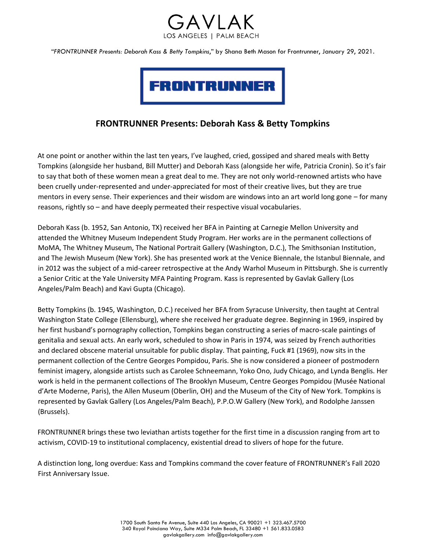



# **FRONTRUNNER Presents: Deborah Kass & Betty Tompkins**

At one point or another within the last ten years, I've laughed, cried, gossiped and shared meals with Betty Tompkins (alongside her husband, Bill Mutter) and Deborah Kass (alongside her wife, Patricia Cronin). So it's fair to say that both of these women mean a great deal to me. They are not only world-renowned artists who have been cruelly under-represented and under-appreciated for most of their creative lives, but they are true mentors in every sense. Their experiences and their wisdom are windows into an art world long gone – for many reasons, rightly so – and have deeply permeated their respective visual vocabularies.

Deborah Kass (b. 1952, San Antonio, TX) received her BFA in Painting at Carnegie Mellon University and attended the Whitney Museum Independent Study Program. Her works are in the permanent collections of MoMA, The Whitney Museum, The National Portrait Gallery (Washington, D.C.), The Smithsonian Institution, and The Jewish Museum (New York). She has presented work at the Venice Biennale, the Istanbul Biennale, and in 2012 was the subject of a mid-career retrospective at the Andy Warhol Museum in Pittsburgh. She is currently a Senior Critic at the Yale University MFA Painting Program. Kass is represented by Gavlak Gallery (Los Angeles/Palm Beach) and Kavi Gupta (Chicago).

Betty Tompkins (b. 1945, Washington, D.C.) received her BFA from Syracuse University, then taught at Central Washington State College (Ellensburg), where she received her graduate degree. Beginning in 1969, inspired by her first husband's pornography collection, Tompkins began constructing a series of macro-scale paintings of genitalia and sexual acts. An early work, scheduled to show in Paris in 1974, was seized by French authorities and declared obscene material unsuitable for public display. That painting, Fuck #1 (1969), now sits in the permanent collection of the Centre Georges Pompidou, Paris. She is now considered a pioneer of postmodern feminist imagery, alongside artists such as Carolee Schneemann, Yoko Ono, Judy Chicago, and Lynda Benglis. Her work is held in the permanent collections of The Brooklyn Museum, Centre Georges Pompidou (Musée National d'Arte Moderne, Paris), the Allen Museum (Oberlin, OH) and the Museum of the City of New York. Tompkins is represented by Gavlak Gallery (Los Angeles/Palm Beach), P.P.O.W Gallery (New York), and Rodolphe Janssen (Brussels).

FRONTRUNNER brings these two leviathan artists together for the first time in a discussion ranging from art to activism, COVID-19 to institutional complacency, existential dread to slivers of hope for the future.

A distinction long, long overdue: Kass and Tompkins command the cover feature of FRONTRUNNER's Fall 2020 First Anniversary Issue.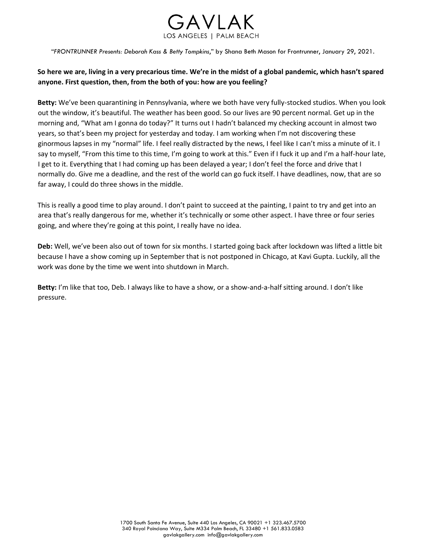

# **So here we are, living in a very precarious time. We're in the midst of a global pandemic, which hasn't spared anyone. First question, then, from the both of you: how are you feeling?**

**Betty:** We've been quarantining in Pennsylvania, where we both have very fully-stocked studios. When you look out the window, it's beautiful. The weather has been good. So our lives are 90 percent normal. Get up in the morning and, "What am I gonna do today?" It turns out I hadn't balanced my checking account in almost two years, so that's been my project for yesterday and today. I am working when I'm not discovering these ginormous lapses in my "normal" life. I feel really distracted by the news, I feel like I can't miss a minute of it. I say to myself, "From this time to this time, I'm going to work at this." Even if I fuck it up and I'm a half-hour late, I get to it. Everything that I had coming up has been delayed a year; I don't feel the force and drive that I normally do. Give me a deadline, and the rest of the world can go fuck itself. I have deadlines, now, that are so far away, I could do three shows in the middle.

This is really a good time to play around. I don't paint to succeed at the painting, I paint to try and get into an area that's really dangerous for me, whether it's technically or some other aspect. I have three or four series going, and where they're going at this point, I really have no idea.

**Deb:** Well, we've been also out of town for six months. I started going back after lockdown was lifted a little bit because I have a show coming up in September that is not postponed in Chicago, at Kavi Gupta. Luckily, all the work was done by the time we went into shutdown in March.

**Betty:** I'm like that too, Deb. I always like to have a show, or a show-and-a-half sitting around. I don't like pressure.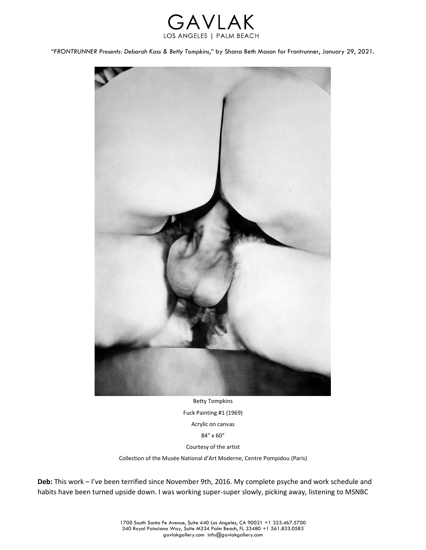



Betty Tompkins Fuck Painting #1 (1969) Acrylic on canvas 84″ x 60″ Courtesy of the artist

Collection of the Musée National d'Art Moderne, Centre Pompidou (Paris)

**Deb:** This work – I've been terrified since November 9th, 2016. My complete psyche and work schedule and habits have been turned upside down. I was working super-super slowly, picking away, listening to MSNBC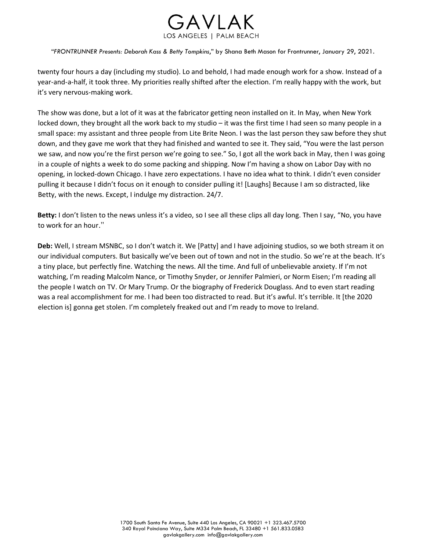

twenty four hours a day (including my studio). Lo and behold, I had made enough work for a show. Instead of a year-and-a-half, it took three. My priorities really shifted after the election. I'm really happy with the work, but it's very nervous-making work.

The show was done, but a lot of it was at the fabricator getting neon installed on it. In May, when New York locked down, they brought all the work back to my studio – it was the first time I had seen so many people in a small space: my assistant and three people from Lite Brite Neon. I was the last person they saw before they shut down, and they gave me work that they had finished and wanted to see it. They said, "You were the last person we saw, and now you're the first person we're going to see." So, I got all the work back in May, then I was going in a couple of nights a week to do some packing and shipping. Now I'm having a show on Labor Day with no opening, in locked-down Chicago. I have zero expectations. I have no idea what to think. I didn't even consider pulling it because I didn't focus on it enough to consider pulling it! [Laughs] Because I am so distracted, like Betty, with the news. Except, I indulge my distraction. 24/7.

**Betty:** I don't listen to the news unless it's a video, so I see all these clips all day long. Then I say, "No, you have to work for an hour."

**Deb:** Well, I stream MSNBC, so I don't watch it. We [Patty] and I have adjoining studios, so we both stream it on our individual computers. But basically we've been out of town and not in the studio. So we're at the beach. It's a tiny place, but perfectly fine. Watching the news. All the time. And full of unbelievable anxiety. If I'm not watching, I'm reading Malcolm Nance, or Timothy Snyder, or Jennifer Palmieri, or Norm Eisen; I'm reading all the people I watch on TV. Or Mary Trump. Or the biography of Frederick Douglass. And to even start reading was a real accomplishment for me. I had been too distracted to read. But it's awful. It's terrible. It [the 2020 election is] gonna get stolen. I'm completely freaked out and I'm ready to move to Ireland.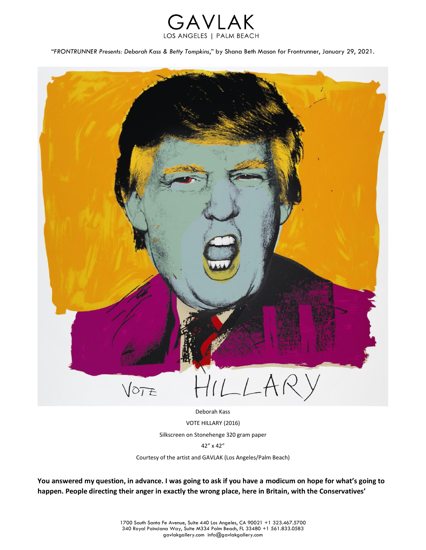



Deborah Kass VOTE HILLARY (2016) Silkscreen on Stonehenge 320 gram paper 42″ x 42″ Courtesy of the artist and GAVLAK (Los Angeles/Palm Beach)

**You answered my question, in advance. I was going to ask if you have a modicum on hope for what's going to happen. People directing their anger in exactly the wrong place, here in Britain, with the Conservatives'**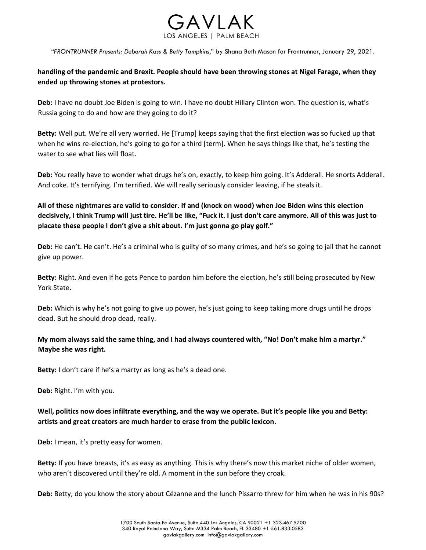

# **handling of the pandemic and Brexit. People should have been throwing stones at Nigel Farage, when they ended up throwing stones at protestors.**

**Deb:** I have no doubt Joe Biden is going to win. I have no doubt Hillary Clinton won. The question is, what's Russia going to do and how are they going to do it?

**Betty:** Well put. We're all very worried. He [Trump] keeps saying that the first election was so fucked up that when he wins re-election, he's going to go for a third [term]. When he says things like that, he's testing the water to see what lies will float.

**Deb:** You really have to wonder what drugs he's on, exactly, to keep him going. It's Adderall. He snorts Adderall. And coke. It's terrifying. I'm terrified. We will really seriously consider leaving, if he steals it.

# **All of these nightmares are valid to consider. If and (knock on wood) when Joe Biden wins this election decisively, I think Trump will just tire. He'll be like, "Fuck it. I just don't care anymore. All of this was just to placate these people I don't give a shit about. I'm just gonna go play golf."**

**Deb:** He can't. He can't. He's a criminal who is guilty of so many crimes, and he's so going to jail that he cannot give up power.

**Betty:** Right. And even if he gets Pence to pardon him before the election, he's still being prosecuted by New York State.

**Deb:** Which is why he's not going to give up power, he's just going to keep taking more drugs until he drops dead. But he should drop dead, really.

# **My mom always said the same thing, and I had always countered with, "No! Don't make him a martyr." Maybe she was right.**

**Betty:** I don't care if he's a martyr as long as he's a dead one.

**Deb:** Right. I'm with you.

## **Well, politics now does infiltrate everything, and the way we operate. But it's people like you and Betty: artists and great creators are much harder to erase from the public lexicon.**

**Deb:** I mean, it's pretty easy for women.

**Betty:** If you have breasts, it's as easy as anything. This is why there's now this market niche of older women, who aren't discovered until they're old. A moment in the sun before they croak.

**Deb:** Betty, do you know the story about Cézanne and the lunch Pissarro threw for him when he was in his 90s?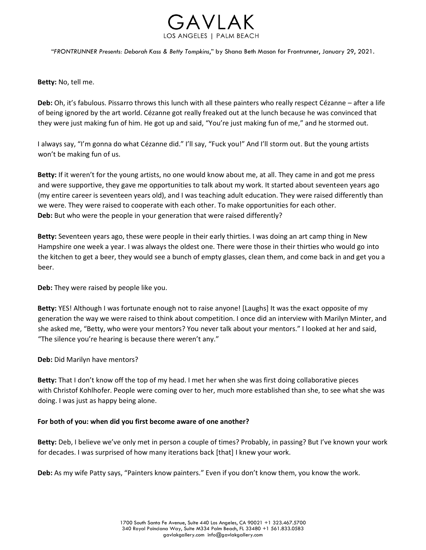

**Betty:** No, tell me.

**Deb:** Oh, it's fabulous. Pissarro throws this lunch with all these painters who really respect Cézanne – after a life of being ignored by the art world. Cézanne got really freaked out at the lunch because he was convinced that they were just making fun of him. He got up and said, "You're just making fun of me," and he stormed out.

I always say, "I'm gonna do what Cézanne did." I'll say, "Fuck you!" And I'll storm out. But the young artists won't be making fun of us.

**Betty:** If it weren't for the young artists, no one would know about me, at all. They came in and got me press and were supportive, they gave me opportunities to talk about my work. It started about seventeen years ago (my entire career is seventeen years old), and I was teaching adult education. They were raised differently than we were. They were raised to cooperate with each other. To make opportunities for each other. **Deb:** But who were the people in your generation that were raised differently?

**Betty:** Seventeen years ago, these were people in their early thirties. I was doing an art camp thing in New Hampshire one week a year. I was always the oldest one. There were those in their thirties who would go into the kitchen to get a beer, they would see a bunch of empty glasses, clean them, and come back in and get you a beer.

**Deb:** They were raised by people like you.

**Betty:** YES! Although I was fortunate enough not to raise anyone! [Laughs] It was the exact opposite of my generation the way we were raised to think about competition. I once did an interview with Marilyn Minter, and she asked me, "Betty, who were your mentors? You never talk about your mentors." I looked at her and said, "The silence you're hearing is because there weren't any."

**Deb:** Did Marilyn have mentors?

**Betty:** That I don't know off the top of my head. I met her when she was first doing collaborative pieces with Christof Kohlhofer. People were coming over to her, much more established than she, to see what she was doing. I was just as happy being alone.

#### **For both of you: when did you first become aware of one another?**

**Betty:** Deb, I believe we've only met in person a couple of times? Probably, in passing? But I've known your work for decades. I was surprised of how many iterations back [that] I knew your work.

**Deb:** As my wife Patty says, "Painters know painters." Even if you don't know them, you know the work.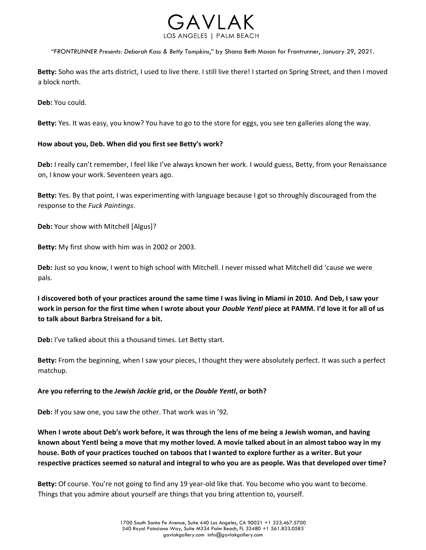

**Betty:** Soho was the arts district, I used to live there. I still live there! I started on Spring Street, and then I moved a block north.

**Deb:** You could.

**Betty:** Yes. It was easy, you know? You have to go to the store for eggs, you see ten galleries along the way.

### **How about you, Deb. When did you first see Betty's work?**

**Deb:** I really can't remember, I feel like I've always known her work. I would guess, Betty, from your Renaissance on, I know your work. Seventeen years ago.

**Betty:** Yes. By that point, I was experimenting with language because I got so throughly discouraged from the response to the *Fuck Paintings*.

**Deb:** Your show with Mitchell [Algus]?

**Betty:** My first show with him was in 2002 or 2003.

**Deb:** Just so you know, I went to high school with Mitchell. I never missed what Mitchell did 'cause we were pals.

**I discovered both of your practices around the same time I was living in Miami in 2010. And Deb, I saw your work in person for the first time when I wrote about your** *Double Yentl* **piece at PAMM. I'd love it for all of us to talk about Barbra Streisand for a bit.**

**Deb:** I've talked about this a thousand times. Let Betty start.

**Betty:** From the beginning, when I saw your pieces, I thought they were absolutely perfect. It was such a perfect matchup.

#### **Are you referring to the** *Jewish Jackie* **grid, or the** *Double Yentl***, or both?**

**Deb:** If you saw one, you saw the other. That work was in '92.

**When I wrote about Deb's work before, it was through the lens of me being a Jewish woman, and having known about Yentl being a move that my mother loved. A movie talked about in an almost taboo way in my house. Both of your practices touched on taboos that I wanted to explore further as a writer. But your respective practices seemed so natural and integral to who you are as people. Was that developed over time?**

**Betty:** Of course. You're not going to find any 19 year-old like that. You become who you want to become. Things that you admire about yourself are things that you bring attention to, yourself.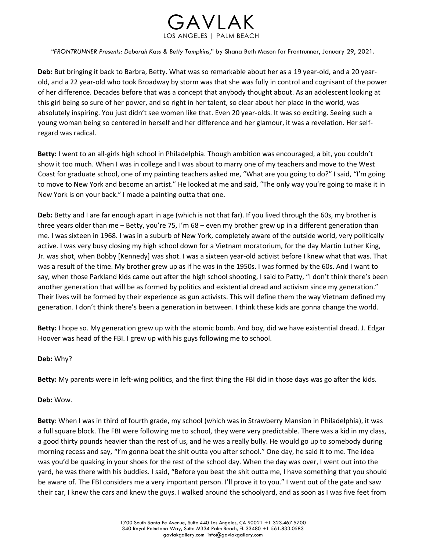

**Deb:** But bringing it back to Barbra, Betty. What was so remarkable about her as a 19 year-old, and a 20 yearold, and a 22 year-old who took Broadway by storm was that she was fully in control and cognisant of the power of her difference. Decades before that was a concept that anybody thought about. As an adolescent looking at this girl being so sure of her power, and so right in her talent, so clear about her place in the world, was absolutely inspiring. You just didn't see women like that. Even 20 year-olds. It was so exciting. Seeing such a young woman being so centered in herself and her difference and her glamour, it was a revelation. Her selfregard was radical.

**Betty:** I went to an all-girls high school in Philadelphia. Though ambition was encouraged, a bit, you couldn't show it too much. When I was in college and I was about to marry one of my teachers and move to the West Coast for graduate school, one of my painting teachers asked me, "What are you going to do?" I said, "I'm going to move to New York and become an artist." He looked at me and said, "The only way you're going to make it in New York is on your back." I made a painting outta that one.

**Deb:** Betty and I are far enough apart in age (which is not that far). If you lived through the 60s, my brother is three years older than me – Betty, you're 75, I'm 68 – even my brother grew up in a different generation than me. I was sixteen in 1968. I was in a suburb of New York, completely aware of the outside world, very politically active. I was very busy closing my high school down for a Vietnam moratorium, for the day Martin Luther King, Jr. was shot, when Bobby [Kennedy] was shot. I was a sixteen year-old activist before I knew what that was. That was a result of the time. My brother grew up as if he was in the 1950s. I was formed by the 60s. And I want to say, when those Parkland kids came out after the high school shooting, I said to Patty, "I don't think there's been another generation that will be as formed by politics and existential dread and activism since my generation." Their lives will be formed by their experience as gun activists. This will define them the way Vietnam defined my generation. I don't think there's been a generation in between. I think these kids are gonna change the world.

**Betty:** I hope so. My generation grew up with the atomic bomb. And boy, did we have existential dread. J. Edgar Hoover was head of the FBI. I grew up with his guys following me to school.

#### **Deb:** Why?

**Betty:** My parents were in left-wing politics, and the first thing the FBI did in those days was go after the kids.

#### **Deb:** Wow.

**Betty**: When I was in third of fourth grade, my school (which was in Strawberry Mansion in Philadelphia), it was a full square block. The FBI were following me to school, they were very predictable. There was a kid in my class, a good thirty pounds heavier than the rest of us, and he was a really bully. He would go up to somebody during morning recess and say, "I'm gonna beat the shit outta you after school." One day, he said it to me. The idea was you'd be quaking in your shoes for the rest of the school day. When the day was over, I went out into the yard, he was there with his buddies. I said, "Before you beat the shit outta me, I have something that you should be aware of. The FBI considers me a very important person. I'll prove it to you." I went out of the gate and saw their car, I knew the cars and knew the guys. I walked around the schoolyard, and as soon as I was five feet from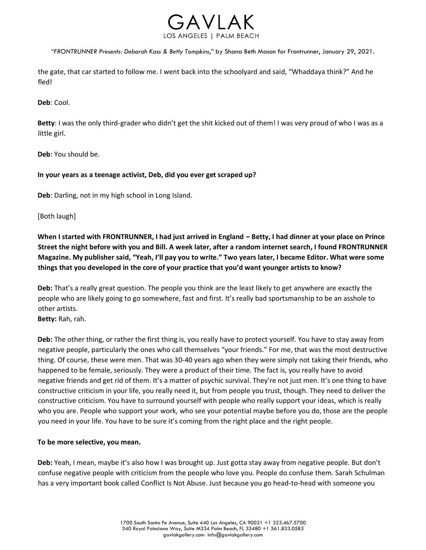

the gate, that car started to follow me. I went back into the schoolyard and said, "Whaddaya think?" And he fled!

**Deb**: Cool.

**Betty**: I was the only third-grader who didn't get the shit kicked out of them! I was very proud of who I was as a little girl.

**Deb**: You should be.

### **In your years as a teenage activist, Deb, did you ever get scraped up?**

**Deb**: Darling, not in my high school in Long Island.

[Both laugh]

**When I started with FRONTRUNNER, I had just arrived in England – Betty, I had dinner at your place on Prince Street the night before with you and Bill. A week later, after a random internet search, I found FRONTRUNNER Magazine. My publisher said, "Yeah, I'll pay you to write." Two years later, I became Editor. What were some things that you developed in the core of your practice that you'd want younger artists to know?**

**Deb:** That's a really great question. The people you think are the least likely to get anywhere are exactly the people who are likely going to go somewhere, fast and first. It's really bad sportsmanship to be an asshole to other artists.

**Betty:** Rah, rah.

**Deb:** The other thing, or rather the first thing is, you really have to protect yourself. You have to stay away from negative people, particularly the ones who call themselves "your friends." For me, that was the most destructive thing. Of course, these were men. That was 30-40 years ago when they were simply not taking their friends, who happened to be female, seriously. They were a product of their time. The fact is, you really have to avoid negative friends and get rid of them. It's a matter of psychic survival. They're not just men. It's one thing to have constructive criticism in your life, you really need it, but from people you trust, though. They need to deliver the constructive criticism. You have to surround yourself with people who really support your ideas, which is really who you are. People who support your work, who see your potential maybe before you do, those are the people you need in your life. You have to be sure it's coming from the right place and the right people.

#### **To be more selective, you mean.**

**Deb:** Yeah, I mean, maybe it's also how I was brought up. Just gotta stay away from negative people. But don't confuse negative people with criticism from the people who love you. People do confuse them. Sarah Schulman has a very important book called Conflict Is Not Abuse. Just because you go head-to-head with someone you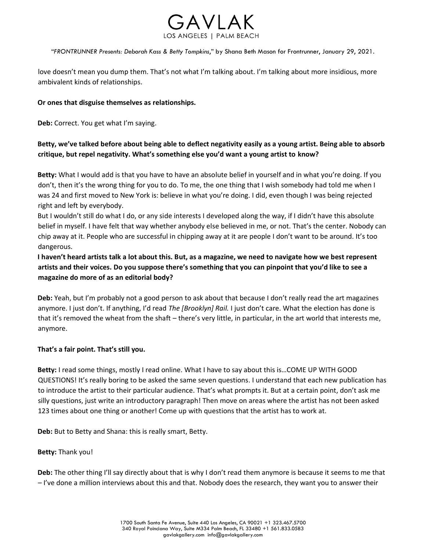

love doesn't mean you dump them. That's not what I'm talking about. I'm talking about more insidious, more ambivalent kinds of relationships.

### **Or ones that disguise themselves as relationships.**

**Deb:** Correct. You get what I'm saying.

# **Betty, we've talked before about being able to deflect negativity easily as a young artist. Being able to absorb critique, but repel negativity. What's something else you'd want a young artist to know?**

**Betty:** What I would add is that you have to have an absolute belief in yourself and in what you're doing. If you don't, then it's the wrong thing for you to do. To me, the one thing that I wish somebody had told me when I was 24 and first moved to New York is: believe in what you're doing. I did, even though I was being rejected right and left by everybody.

But I wouldn't still do what I do, or any side interests I developed along the way, if I didn't have this absolute belief in myself. I have felt that way whether anybody else believed in me, or not. That's the center. Nobody can chip away at it. People who are successful in chipping away at it are people I don't want to be around. It's too dangerous.

# **I haven't heard artists talk a lot about this. But, as a magazine, we need to navigate how we best represent artists and their voices. Do you suppose there's something that you can pinpoint that you'd like to see a magazine do more of as an editorial body?**

**Deb:** Yeah, but I'm probably not a good person to ask about that because I don't really read the art magazines anymore. I just don't. If anything, I'd read *The [Brooklyn] Rail.* I just don't care. What the election has done is that it's removed the wheat from the shaft – there's very little, in particular, in the art world that interests me, anymore.

## **That's a fair point. That's still you.**

**Betty:** I read some things, mostly I read online. What I have to say about this is…COME UP WITH GOOD QUESTIONS! It's really boring to be asked the same seven questions. I understand that each new publication has to introduce the artist to their particular audience. That's what prompts it. But at a certain point, don't ask me silly questions, just write an introductory paragraph! Then move on areas where the artist has not been asked 123 times about one thing or another! Come up with questions that the artist has to work at.

**Deb:** But to Betty and Shana: this is really smart, Betty.

#### **Betty:** Thank you!

**Deb:** The other thing I'll say directly about that is why I don't read them anymore is because it seems to me that – I've done a million interviews about this and that. Nobody does the research, they want you to answer their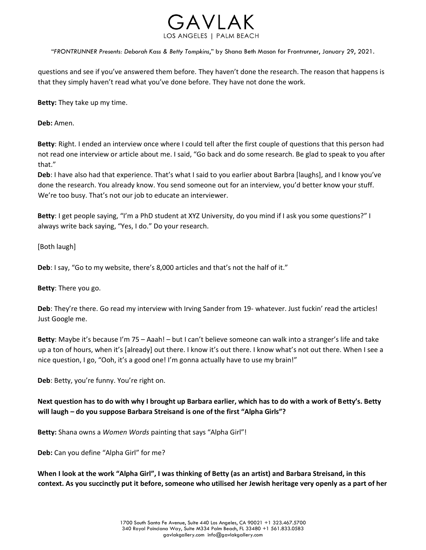

questions and see if you've answered them before. They haven't done the research. The reason that happens is that they simply haven't read what you've done before. They have not done the work.

**Betty:** They take up my time.

**Deb:** Amen.

**Betty**: Right. I ended an interview once where I could tell after the first couple of questions that this person had not read one interview or article about me. I said, "Go back and do some research. Be glad to speak to you after that."

**Deb**: I have also had that experience. That's what I said to you earlier about Barbra [laughs], and I know you've done the research. You already know. You send someone out for an interview, you'd better know your stuff. We're too busy. That's not our job to educate an interviewer.

**Betty**: I get people saying, "I'm a PhD student at XYZ University, do you mind if I ask you some questions?" I always write back saying, "Yes, I do." Do your research.

[Both laugh]

**Deb**: I say, "Go to my website, there's 8,000 articles and that's not the half of it."

**Betty**: There you go.

**Deb**: They're there. Go read my interview with Irving Sander from 19- whatever. Just fuckin' read the articles! Just Google me.

**Betty**: Maybe it's because I'm 75 – Aaah! – but I can't believe someone can walk into a stranger's life and take up a ton of hours, when it's [already] out there. I know it's out there. I know what's not out there. When I see a nice question, I go, "Ooh, it's a good one! I'm gonna actually have to use my brain!"

**Deb**: Betty, you're funny. You're right on.

**Next question has to do with why I brought up Barbara earlier, which has to do with a work of Betty's. Betty will laugh – do you suppose Barbara Streisand is one of the first "Alpha Girls"?**

**Betty:** Shana owns a *Women Words* painting that says "Alpha Girl"!

**Deb:** Can you define "Alpha Girl" for me?

**When I look at the work "Alpha Girl", I was thinking of Betty (as an artist) and Barbara Streisand, in this context. As you succinctly put it before, someone who utilised her Jewish heritage very openly as a part of her**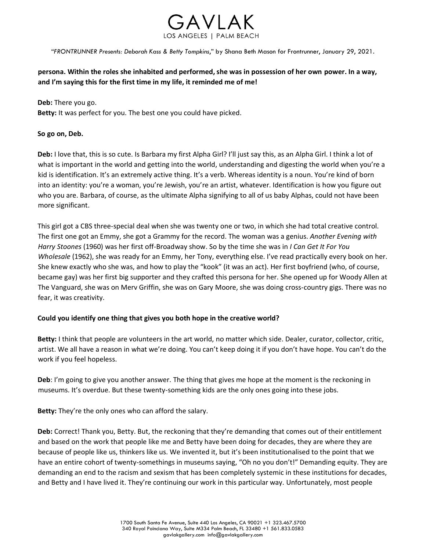

**persona. Within the roles she inhabited and performed, she was in possession of her own power. In a way, and I'm saying this for the first time in my life, it reminded me of me!**

### **Deb:** There you go.

**Betty:** It was perfect for you. The best one you could have picked.

### **So go on, Deb.**

**Deb:** I love that, this is so cute. Is Barbara my first Alpha Girl? I'll just say this, as an Alpha Girl. I think a lot of what is important in the world and getting into the world, understanding and digesting the world when you're a kid is identification. It's an extremely active thing. It's a verb. Whereas identity is a noun. You're kind of born into an identity: you're a woman, you're Jewish, you're an artist, whatever. Identification is how you figure out who you are. Barbara, of course, as the ultimate Alpha signifying to all of us baby Alphas, could not have been more significant.

This girl got a CBS three-special deal when she was twenty one or two, in which she had total creative control. The first one got an Emmy, she got a Grammy for the record. The woman was a genius. *Another Evening with Harry Stoones* (1960) was her first off-Broadway show. So by the time she was in *I Can Get It For You Wholesale* (1962), she was ready for an Emmy, her Tony, everything else. I've read practically every book on her. She knew exactly who she was, and how to play the "kook" (it was an act). Her first boyfriend (who, of course, became gay) was her first big supporter and they crafted this persona for her. She opened up for Woody Allen at The Vanguard, she was on Merv Griffin, she was on Gary Moore, she was doing cross-country gigs. There was no fear, it was creativity.

## **Could you identify one thing that gives you both hope in the creative world?**

**Betty:** I think that people are volunteers in the art world, no matter which side. Dealer, curator, collector, critic, artist. We all have a reason in what we're doing. You can't keep doing it if you don't have hope. You can't do the work if you feel hopeless.

**Deb**: I'm going to give you another answer. The thing that gives me hope at the moment is the reckoning in museums. It's overdue. But these twenty-something kids are the only ones going into these jobs.

**Betty:** They're the only ones who can afford the salary.

**Deb:** Correct! Thank you, Betty. But, the reckoning that they're demanding that comes out of their entitlement and based on the work that people like me and Betty have been doing for decades, they are where they are because of people like us, thinkers like us. We invented it, but it's been institutionalised to the point that we have an entire cohort of twenty-somethings in museums saying, "Oh no you don't!" Demanding equity. They are demanding an end to the racism and sexism that has been completely systemic in these institutions for decades, and Betty and I have lived it. They're continuing our work in this particular way. Unfortunately, most people